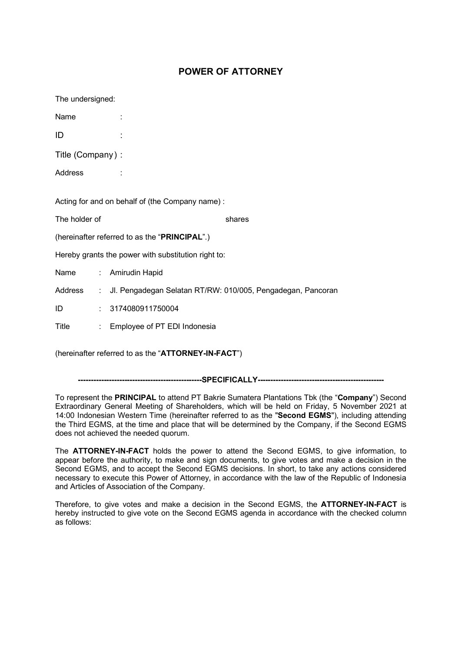## **POWER OF ATTORNEY**

The undersigned:

Name :

ID :

Title (Company) :

Address :

Acting for and on behalf of (the Company name) :

The holder of **Example 20** shares

(hereinafter referred to as the "**PRINCIPAL**".)

Hereby grants the power with substitution right to:

Name : Amirudin Hapid

Address : Jl. Pengadegan Selatan RT/RW: 010/005, Pengadegan, Pancoran

ID : 3174080911750004

Title : Employee of PT EDI Indonesia

(hereinafter referred to as the "**ATTORNEY-IN-FACT**")

**------------------------------------------------SPECIFICALLY-------------------------------------------------**

To represent the **PRINCIPAL** to attend PT Bakrie Sumatera Plantations Tbk (the "**Company**") Second Extraordinary General Meeting of Shareholders, which will be held on Friday, 5 November 2021 at 14:00 Indonesian Western Time (hereinafter referred to as the "**Second EGMS**"), including attending the Third EGMS, at the time and place that will be determined by the Company, if the Second EGMS does not achieved the needed quorum.

The **ATTORNEY-IN-FACT** holds the power to attend the Second EGMS, to give information, to appear before the authority, to make and sign documents, to give votes and make a decision in the Second EGMS, and to accept the Second EGMS decisions. In short, to take any actions considered necessary to execute this Power of Attorney, in accordance with the law of the Republic of Indonesia and Articles of Association of the Company.

Therefore, to give votes and make a decision in the Second EGMS, the **ATTORNEY-IN-FACT** is hereby instructed to give vote on the Second EGMS agenda in accordance with the checked column as follows: